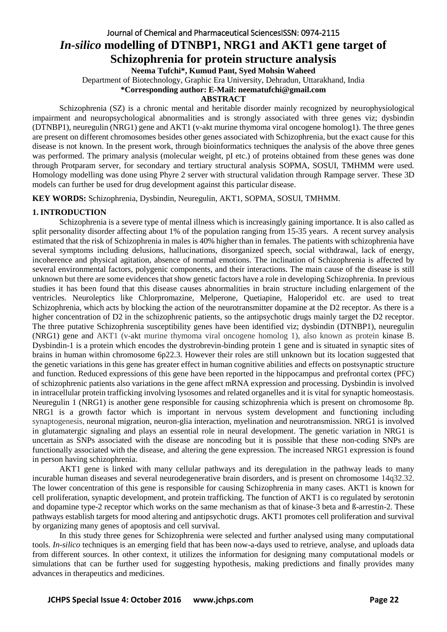# Journal of Chemical and Pharmaceutical SciencesISSN: 0974-2115 *In-silico* **modelling of DTNBP1, NRG1 and AKT1 gene target of Schizophrenia for protein structure analysis**

**Neema Tufchi\*, Kumud Pant, Syed Mohsin Waheed** 

Department of Biotechnology, Graphic Era University, Dehradun, Uttarakhand, India

**\*Corresponding author: E-Mail: neematufchi@gmail.com**

### **ABSTRACT**

Schizophrenia (SZ) is a chronic mental and heritable disorder mainly recognized by neurophysiological impairment and neuropsychological abnormalities and is strongly associated with three genes viz; dysbindin (DTNBP1), neuregulin (NRG1) gene and AKT1 (v-akt murine thymoma viral oncogene homolog1). The three genes are present on different chromosomes besides other genes associated with Schizophrenia, but the exact cause for this disease is not known. In the present work, through bioinformatics techniques the analysis of the above three genes was performed. The primary analysis (molecular weight, pI etc.) of proteins obtained from these genes was done through Protparam server, for secondary and tertiary structural analysis SOPMA, SOSUI, TMHMM were used. Homology modelling was done using Phyre 2 server with structural validation through Rampage server. These 3D models can further be used for drug development against this particular disease.

**KEY WORDS:** Schizophrenia, Dysbindin, Neuregulin, AKT1, SOPMA, SOSUI, TMHMM.

### **1. INTRODUCTION**

Schizophrenia is a severe type of mental illness which is increasingly gaining importance. It is also called as split personality disorder affecting about 1% of the population ranging from 15-35 years. A recent survey analysis estimated that the risk of Schizophrenia in males is 40% higher than in females. The patients with schizophrenia have several symptoms including delusions, hallucinations, disorganized speech, social withdrawal, lack of energy, incoherence and physical agitation, absence of normal emotions. The inclination of Schizophrenia is affected by several environmental factors, polygenic components, and their interactions. The main cause of the disease is still unknown but there are some evidences that show genetic factors have a role in developing Schizophrenia. In previous studies it has been found that this disease causes abnormalities in brain structure including enlargement of the ventricles. Neuroleptics like Chlorpromazine, Melperone, Quetiapine, Haloperidol etc. are used to treat Schizophrenia, which acts by blocking the action of the neurotransmitter dopamine at the D2 receptor. As there is a higher concentration of D2 in the schizophrenic patients, so the antipsychotic drugs mainly target the D2 receptor. The three putative Schizophrenia susceptibility genes have been identified viz; dysbindin (DTNBP1), neuregulin (NRG1) gene and AKT1 (v-akt murine thymoma viral oncogene homolog 1), also known as protein kinase B. Dysbindin-1 is a protein which encodes the dystrobrevin-binding protein 1 gene and is situated in synaptic sites of brains in human within chromosome 6p22.3. However their roles are still unknown but its location suggested that the genetic variations in this gene has greater effect in human cognitive abilities and effects on postsynaptic structure and function. Reduced expressions of this gene have been reported in the hippocampus and prefrontal cortex (PFC) of schizophrenic patients also variations in the gene affect mRNA expression and processing. Dysbindin is involved in intracellular protein trafficking involving lysosomes and related organelles and it is vital for synaptic homeostasis. Neuregulin 1 (NRG1) is another gene responsible for causing schizophrenia which is present on chromosome 8p. NRG1 is a growth factor which is important in nervous system development and functioning including synaptogenesis, neuronal migration, neuron-glia interaction, myelination and neurotransmission. NRG1 is involved in glutamatergic signaling and plays an essential role in neural development. The genetic variation in NRG1 is uncertain as SNPs associated with the disease are noncoding but it is possible that these non-coding SNPs are functionally associated with the disease, and altering the gene expression. The increased NRG1 expression is found in person having schizophrenia.

AKT1 gene is linked with many cellular pathways and its deregulation in the pathway leads to many incurable human diseases and several neurodegenerative brain disorders, and is present on chromosome 14q32.32. The lower concentration of this gene is responsible for causing Schizophrenia in many cases. AKT1 is known for cell proliferation, synaptic development, and protein trafficking. The function of AKT1 is co regulated by serotonin and dopamine type-2 receptor which works on the same mechanism as that of kinase-3 beta and ß-arrestin-2. These pathways establish targets for mood altering and antipsychotic drugs. AKT1 promotes cell proliferation and survival by organizing many genes of apoptosis and cell survival.

In this study three genes for Schizophrenia were selected and further analysed using many computational tools. *In-silico* techniques is an emerging field that has been now-a-days used to retrieve, analyse, and uploads data from different sources. In other context, it utilizes the information for designing many computational models or simulations that can be further used for suggesting hypothesis, making predictions and finally provides many advances in therapeutics and medicines.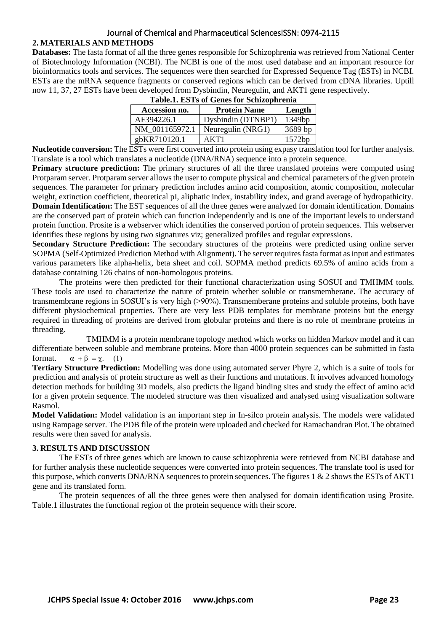# Journal of Chemical and Pharmaceutical SciencesISSN: 0974-2115

# **2. MATERIALS AND METHODS**

**Databases:** The fasta format of all the three genes responsible for Schizophrenia was retrieved from National Center of Biotechnology Information (NCBI). The NCBI is one of the most used database and an important resource for bioinformatics tools and services. The sequences were then searched for Expressed Sequence Tag (ESTs) in NCBI. ESTs are the mRNA sequence fragments or conserved regions which can be derived from cDNA libraries. Uptill now 11, 37, 27 ESTs have been developed from Dysbindin, Neuregulin, and AKT1 gene respectively.

| Accession no.  | <b>Protein Name</b> | Length  |  |  |
|----------------|---------------------|---------|--|--|
| AF394226.1     | Dysbindin (DTNBP1)  | 1349bp  |  |  |
| NM 001165972.1 | Neuregulin (NRG1)   | 3689 bp |  |  |
| gbKR710120.1   | AKT1                | 1572bp  |  |  |
|                |                     |         |  |  |

|  |  | <b>Table.1. ESTs of Genes for Schizophrenia</b> |
|--|--|-------------------------------------------------|

**Nucleotide conversion:** The ESTs were first converted into protein using expasy translation tool for further analysis. Translate is a tool which translates a nucleotide (DNA/RNA) sequence into a protein sequence.

**Primary structure prediction:** The primary structures of all the three translated proteins were computed using Protparam server. Protparam server allows the user to compute physical and chemical parameters of the given protein sequences. The parameter for primary prediction includes amino acid composition, atomic composition, molecular weight, extinction coefficient, theoretical pI, aliphatic index, instability index, and grand average of hydropathicity. **Domain Identification:** The EST sequences of all the three genes were analyzed for domain identification. Domains are the conserved part of protein which can function independently and is one of the important levels to understand protein function. Prosite is a webserver which identifies the conserved portion of protein sequences. This webserver identifies these regions by using two signatures viz; generalized profiles and regular expressions.

**Secondary Structure Prediction:** The secondary structures of the proteins were predicted using online server SOPMA (Self-Optimized Prediction Method with Alignment). The server requires fasta format as input and estimates various parameters like alpha-helix, beta sheet and coil. SOPMA method predicts 69.5% of amino acids from a database containing 126 chains of non-homologous proteins.

The proteins were then predicted for their functional characterization using SOSUI and TMHMM tools. These tools are used to characterize the nature of protein whether soluble or transmemberane. The accuracy of transmembrane regions in SOSUI's is very high (>90%). Transmemberane proteins and soluble proteins, both have different physiochemical properties. There are very less PDB templates for membrane proteins but the energy required in threading of proteins are derived from globular proteins and there is no role of membrane proteins in threading.

TMHMM is a protein membrane topology method which works on hidden Markov model and it can differentiate between soluble and membrane proteins. More than 4000 protein sequences can be submitted in fasta format.  $\alpha + \beta = \gamma$ . (1)

**Tertiary Structure Prediction:** Modelling was done using automated server Phyre 2, which is a suite of tools for prediction and analysis of protein structure as well as their functions and mutations. It involves advanced homology detection methods for building 3D models, also predicts the ligand binding sites and study the effect of amino acid for a given protein sequence. The modeled structure was then visualized and analysed using visualization software Rasmol.

**Model Validation:** Model validation is an important step in In-silco protein analysis. The models were validated using Rampage server. The PDB file of the protein were uploaded and checked for Ramachandran Plot. The obtained results were then saved for analysis.

# **3. RESULTS AND DISCUSSION**

The ESTs of three genes which are known to cause schizophrenia were retrieved from NCBI database and for further analysis these nucleotide sequences were converted into protein sequences. The translate tool is used for this purpose, which converts DNA/RNA sequences to protein sequences. The figures 1 & 2 shows the ESTs of AKT1 gene and its translated form.

The protein sequences of all the three genes were then analysed for domain identification using Prosite. Table.1 illustrates the functional region of the protein sequence with their score.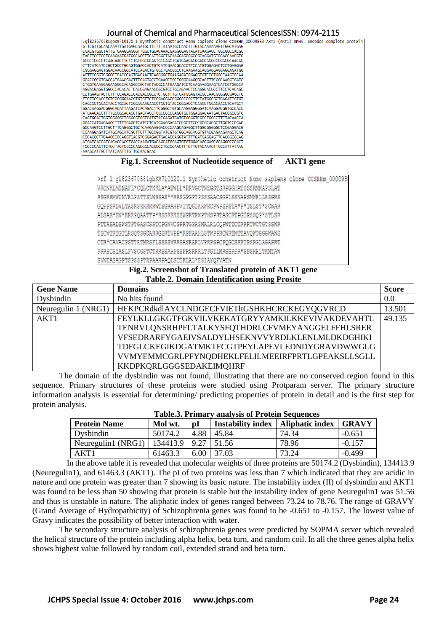#### Journal of Chemical and Pharmaceutical SciencesISSN: 0974-2115

| >qi823670581qbKR710120.1 Synthetic construct Homo sapiens clone CCSBHm_00009883 AKT1 (AKT1) mRNA, encodes complete protein |  |  |  |
|----------------------------------------------------------------------------------------------------------------------------|--|--|--|
| GTTCGTTGCAACAAATTGATGAGCAATGCTTTTTTATAATGCCAACTTTGTACAAAAAAGTTGGCATGAG                                                     |  |  |  |
| ICGACGTGGCTATTGTGAAGGAGGGTTGGCTGCACAAACGAGGGGAGTACATCAAGACCTGGCGGCCACGC                                                    |  |  |  |
| TACTTCCTCCTCAAGAATGATGGCACCTTCATTGGCTACAAGGAGCGGCCGCAGGATGTGGACCAACGTG                                                     |  |  |  |
| AGGC TCCC CETCAACAAC TTC TCTGTGGC GCAGTGCCAGC TGATGAAGAC GGAGC GGCCCC GGCCC AACAC                                          |  |  |  |
| ICTTCATCATCCGCTGCCTGCAGTGGACCACTGTCATCGAACGCACCTTCCATGTGGAGACTCCTGAGGAG                                                    |  |  |  |
| ICGGGAGGAGTGGACAACCGCCATCCAGACTGTGGCTGACGGCCTCAAGAAGCAGGAGGAGGAGGAGTGG                                                     |  |  |  |
| ACTTCCGGTCGGGCTCACCCAGTGACAACTCAGGGGCTGAAGAGATGGAGGTGTCCCTGGCCAAGCCCAA                                                     |  |  |  |
| IGCACCGCGTGACCATGAACGAGTTTGAGTACCTGAAGCTGCTGGGCAAGGGCACTTTCGGCAAGGTGATC                                                    |  |  |  |
|                                                                                                                            |  |  |  |
| AGGAC GAGGTGGC CC AC AC TC ACC GAGAAC CGC GTC CTGC AGAAC TCC AGGC ACC CC TTC CTC AC AGC                                    |  |  |  |
| ICCTGAAGTACTCTTTCCAGACCCACGACCGCCTCTGCTTTGTCATGGAGTACGCCAACGGGGGCGAGCTG                                                    |  |  |  |
| TTCTTCCACCTGTCCCGGGAACGTGTGTTCTCCGAGGACCGGGCCCGCTTCTATGGCGCTGAGATTGTGT                                                     |  |  |  |
| CAGCCCTGGACTACCTGCACTCGGAGAAGAACGTGGTGTACCGGGACCTCAAGCTGGAGAACCTCATGCT                                                     |  |  |  |
| GGAC AAGGAC GGGC AC ATTAAGATC AC AGAC TTC GGGC TGT GC AAGGAGGGG ATC AAGGAC GGT GCC ACC                                     |  |  |  |
| ATGAAGACCTTTTGCGGCACACCTGAGTACCTGGCCCCCGAGGTGCTGGAGGACAATGACTACGGCCGTG                                                     |  |  |  |
|                                                                                                                            |  |  |  |
| IGGACCATGAGAAGCTTTTTGAGCTCATCCTCATGGAGGAGATCCGCTTCCCGCGCACGCTTGGTCCCGAG                                                    |  |  |  |
| GCCAAGTCCTTGCTTTCAGGGCTGCTCAAGAAGGACCCCAAGCAGAGGCTTGGCGGGGCTCCGAGGACG                                                      |  |  |  |
| I CC AAGGAGATC ATGC AGC ATC GC TTC TTTGCC GGTATC GTGTGGC AGC AC GTGTAC GAGAAGAAGC TC AG                                    |  |  |  |
| ICCCACCCTTCAAGCCCCAGGTCACGTCGGAGACTGACACCAGGTATTTTGATGAGGAGTTCACGGCCCAG                                                    |  |  |  |
|                                                                                                                            |  |  |  |
| TCCCCCAGTTCTCCTACTCGGCCAGCGGCACGGCCTGCCCAACTTTCTTGTACAAAGTTGGCATTATAAG                                                     |  |  |  |
| AAAGC ATTGC TTATC AATTTGTTGC AACGAAC                                                                                       |  |  |  |
|                                                                                                                            |  |  |  |

# **Fig.1. Screenshot of Nucleotide sequence of AKT1 gene**

| >rf 1 gi823670581gbKR710120.1 Synthetic construct Homo sapiens clone OCSBHm 0000986 |  |
|-------------------------------------------------------------------------------------|--|
| VRCNKLMSNAFL*CQLCTKKLA*ATWLL*RRVGCTNEGSTSRPGGHATSSSRMMAPSLAT                        |  |
| RSGRRMWTNVRLPSTTSLWRSAS**RRSGPGPTPSSSAACSGPLSSNAPSMWRLLRSGRS                        |  |
| GOPPSRIMLTASRSRRRRRWTSGRAHPVTTQGLKRWRCPWPSPSTA*P*TSLST*SCWAR                        |  |
| ALSAR*SW*RRRPQAATTP*RSSRRKSSWPRTRWPTHSPRTASCRTPGTPSSQP*STLSR                        |  |
| PTTASALSWSTPTGASCSSTCPGNVCSPRTGPASMALRLCQPWTTCTRRRTWCTGTSSWR                        |  |
| TSCWTRTGTLRSQTSGCARRGSRTVPP*RPFAAHLSTWPPRCWRTMTTAVQWTGGGWAWS                        |  |
| CTR*CAVACPSTTRTMRSFLSSSSWRRSASRARLVPRPSPCFQGCSRRTPSRGLAGAPRT                        |  |
| PRRSCSTASLPVSCGSTCTRRSSAHPSSPRSRRRLTPGTIMRSSRPR*SPSHHLTKMTAW                        |  |
| SWTASAGPTSPSSPTRPAARPAQLSCTKLAL*ESIAYQFVATN                                         |  |

### **Fig.2. Screenshot of Translated protein of AKT1 gene Table.2. Domain Identification using Prosite**

| <b>Gene Name</b>    | <b>Domains</b>                                         | <b>Score</b> |
|---------------------|--------------------------------------------------------|--------------|
| Dysbindin           | No hits found                                          | 0.0          |
| Neuregulin 1 (NRG1) | HFKPCRdkdIAYCLNDGECFVIETItGSHKHCRCKEGYQGVRCD           | 13.501       |
| AKT1                | <b>FEYLKLLGKGTFGKVILVKEKATGRYYAMKILKKEVIVAKDEVAHTL</b> | 49.135       |
|                     | TENRVLQNSRHPFLTALKYSFQTHDRLCFVMEYANGGELFFHLSRER        |              |
|                     | VFSEDRARFYGAEIVSALDYLHSEKNVVYRDLKLENLMLDKDGHIKI        |              |
|                     | TDFGLCKEGIKDGATMKTFCGTPEYLAPEVLEDNDYGRAVDWWGLG         |              |
|                     | VVMYEMMCGRLPFYNQDHEKLFELILMEEIRFPRTLGPEAKSLLSGLL       |              |
|                     | KKDPKQRLGGGSEDAKEIMQHRF                                |              |

The domain of the dysbindin was not found, illustrating that there are no conserved region found in this sequence. Primary structures of these proteins were studied using Protparam server. The primary structure information analysis is essential for determining/ predicting properties of protein in detail and is the first step for protein analysis.

| <b>Protein Name</b> | Mol wt.                 | $\mathbf{p}$ | Instability index   Aliphatic index |       | <b>GRAVY</b> |  |  |
|---------------------|-------------------------|--------------|-------------------------------------|-------|--------------|--|--|
| Dysbindin           | 50174.2                 | 4.88         | 45.84                               | 74.34 | $-0.651$     |  |  |
| Neuregulin1 (NRG1)  | 134413.9   9.27   51.56 |              |                                     | 78.96 | $-0.157$     |  |  |
| AKT1                | 61463.3                 |              | $6.00 \mid 37.03$                   | 73.24 | $-0.499$     |  |  |

#### **Table.3. Primary analysis of Protein Sequences**

In the above table it is revealed that molecular weights of three proteins are 50174.2 (Dysbindin), 134413.9 (Neuregulin1), and 61463.3 (AKT1). The pI of two proteins was less than 7 which indicated that they are acidic in nature and one protein was greater than 7 showing its basic nature. The instability index (II) of dysbindin and AKT1 was found to be less than 50 showing that protein is stable but the instability index of gene Neuregulin1 was 51.56 and thus is unstable in nature. The aliphatic index of genes ranged between 73.24 to 78.76. The range of GRAVY (Grand Average of Hydropathicity) of Schizophrenia genes was found to be -0.651 to -0.157. The lowest value of Gravy indicates the possibility of better interaction with water.

The secondary structure analysis of schizophrenia genes were predicted by SOPMA server which revealed the helical structure of the protein including alpha helix, beta turn, and random coil. In all the three genes alpha helix shows highest value followed by random coil, extended strand and beta turn.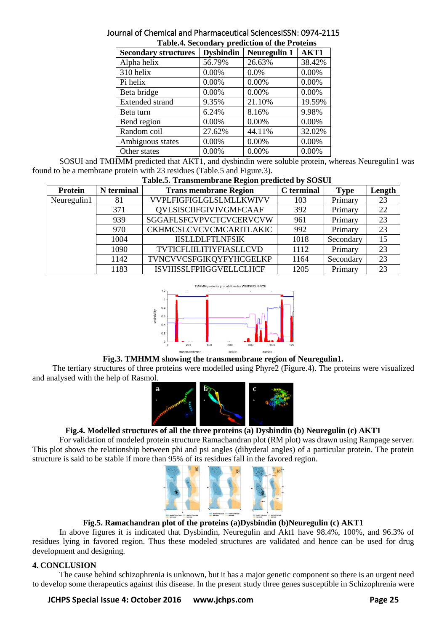| <b>rabit.-.</b> Secondary prediction of the Frotenis |                  |                     |        |  |  |  |
|------------------------------------------------------|------------------|---------------------|--------|--|--|--|
| <b>Secondary structures</b>                          | <b>Dysbindin</b> | <b>Neuregulin 1</b> | AKT1   |  |  |  |
| Alpha helix                                          | 56.79%           | 26.63%              | 38.42% |  |  |  |
| 310 helix                                            | 0.00%            | 0.0%                | 0.00%  |  |  |  |
| Pi helix                                             | 0.00%            | 0.00%               | 0.00%  |  |  |  |
| Beta bridge                                          | 0.00%            | 0.00%               | 0.00%  |  |  |  |
| <b>Extended strand</b>                               | 9.35%            | 21.10%              | 19.59% |  |  |  |
| Beta turn                                            | 6.24%            | 8.16%               | 9.98%  |  |  |  |
| Bend region                                          | 0.00%            | 0.00%               | 0.00%  |  |  |  |
| Random coil                                          | 27.62%           | 44.11%              | 32.02% |  |  |  |
| Ambiguous states                                     | 0.00%            | 0.00%               | 0.00%  |  |  |  |
| Other states                                         | 0.00%            | 0.00%               | 0.00%  |  |  |  |

#### Journal of Chemical and Pharmaceutical SciencesISSN: 0974-2115 **Table.4. Secondary prediction of the Proteins**

SOSUI and TMHMM predicted that AKT1, and dysbindin were soluble protein, whereas Neuregulin1 was found to be a membrane protein with 23 residues (Table.5 and Figure.3).

| <b>Table.5. Transmembrane Region predicted by SOSUI</b> |            |                                |            |             |        |  |  |
|---------------------------------------------------------|------------|--------------------------------|------------|-------------|--------|--|--|
| Protein                                                 | N terminal | <b>Trans membrane Region</b>   | C terminal | <b>Type</b> | Length |  |  |
| Neuregulin1                                             | 81         | VVPLFIGFIGLGLSLMLLKWIVV        | 103        | Primary     | 23     |  |  |
|                                                         | 371        | <b>QVLSISCIIFGIVIVGMFCAAF</b>  | 392        | Primary     | 22     |  |  |
|                                                         | 939        | SGGAFLSFCVPVCTCVCERVCVW        | 961        | Primary     | 23     |  |  |
|                                                         | 970        | <b>CKHMCSLCVCVCMCARITLAKIC</b> | 992        | Primary     | 23     |  |  |
|                                                         | 1004       | <b>IISLLDLFTLNFSIK</b>         | 1018       | Secondary   | 15     |  |  |
|                                                         | 1090       | TVTICFLIILITIYFIASLLCVD        | 1112       | Primary     | 23     |  |  |
|                                                         | 1142       | TVNCVVCSFGIKQYFYHCGELKP        | 1164       | Secondary   | 23     |  |  |
|                                                         | 1183       | <b>ISVHISSLFPIIGGVELLCLHCF</b> | 1205       | Primary     | 23     |  |  |



# **Fig.3. TMHMM showing the transmembrane region of Neuregulin1.**

The tertiary structures of three proteins were modelled using Phyre2 (Figure.4). The proteins were visualized and analysed with the help of Rasmol.



# **Fig.4. Modelled structures of all the three proteins (a) Dysbindin (b) Neuregulin (c) AKT1**

For validation of modeled protein structure Ramachandran plot (RM plot) was drawn using Rampage server. This plot shows the relationship between phi and psi angles (dihyderal angles) of a particular protein. The protein structure is said to be stable if more than 95% of its residues fall in the favored region.



# **Fig.5. Ramachandran plot of the proteins (a)Dysbindin (b)Neuregulin (c) AKT1**

In above figures it is indicated that Dysbindin, Neuregulin and Akt1 have 98.4%, 100%, and 96.3% of residues lying in favored region. Thus these modeled structures are validated and hence can be used for drug development and designing.

# **4. CONCLUSION**

The cause behind schizophrenia is unknown, but it has a major genetic component so there is an urgent need to develop some therapeutics against this disease. In the present study three genes susceptible in Schizophrenia were